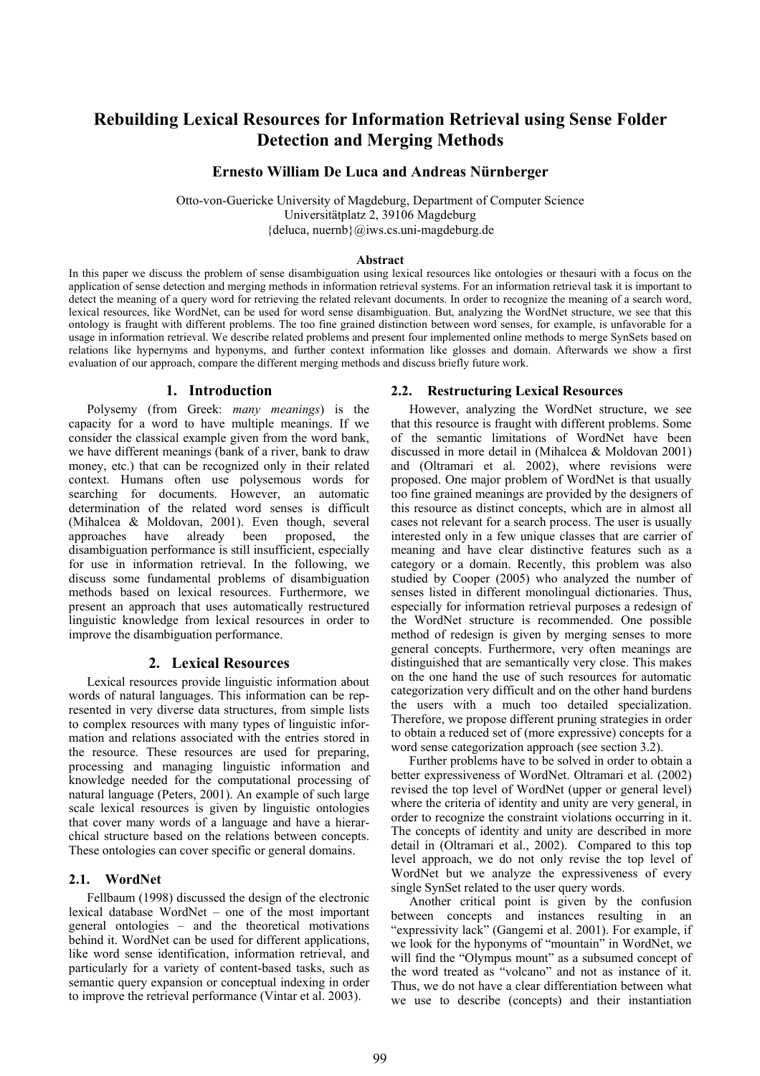# **Rebuilding Lexical Resources for Information Retrieval using Sense Folder Detection and Merging Methods**

# **Ernesto William De Luca and Andreas Nürnberger**

Otto-von-Guericke University of Magdeburg, Department of Computer Science Universitätplatz 2, 39106 Magdeburg {deluca, nuernb}@iws.cs.uni-magdeburg.de

#### **Abstract**

In this paper we discuss the problem of sense disambiguation using lexical resources like ontologies or thesauri with a focus on the application of sense detection and merging methods in information retrieval systems. For an information retrieval task it is important to detect the meaning of a query word for retrieving the related relevant documents. In order to recognize the meaning of a search word, lexical resources, like WordNet, can be used for word sense disambiguation. But, analyzing the WordNet structure, we see that this ontology is fraught with different problems. The too fine grained distinction between word senses, for example, is unfavorable for a usage in information retrieval. We describe related problems and present four implemented online methods to merge SynSets based on relations like hypernyms and hyponyms, and further context information like glosses and domain. Afterwards we show a first evaluation of our approach, compare the different merging methods and discuss briefly future work.

#### **1. Introduction**

Polysemy (from Greek: *many meanings*) is the capacity for a word to have multiple meanings. If we consider the classical example given from the word bank, we have different meanings (bank of a river, bank to draw money, etc.) that can be recognized only in their related context. Humans often use polysemous words for searching for documents. However, an automatic determination of the related word senses is difficult (Mihalcea & Moldovan, 2001). Even though, several approaches have already been proposed, the disambiguation performance is still insufficient, especially for use in information retrieval. In the following, we discuss some fundamental problems of disambiguation methods based on lexical resources. Furthermore, we present an approach that uses automatically restructured linguistic knowledge from lexical resources in order to improve the disambiguation performance.

### **2. Lexical Resources**

Lexical resources provide linguistic information about words of natural languages. This information can be represented in very diverse data structures, from simple lists to complex resources with many types of linguistic information and relations associated with the entries stored in the resource. These resources are used for preparing, processing and managing linguistic information and knowledge needed for the computational processing of natural language (Peters, 2001). An example of such large scale lexical resources is given by linguistic ontologies that cover many words of a language and have a hierarchical structure based on the relations between concepts. These ontologies can cover specific or general domains.

#### **2.1. WordNet**

Fellbaum (1998) discussed the design of the electronic lexical database WordNet – one of the most important general ontologies – and the theoretical motivations behind it. WordNet can be used for different applications, like word sense identification, information retrieval, and particularly for a variety of content-based tasks, such as semantic query expansion or conceptual indexing in order to improve the retrieval performance (Vintar et al. 2003).

#### **2.2. Restructuring Lexical Resources**

However, analyzing the WordNet structure, we see that this resource is fraught with different problems. Some of the semantic limitations of WordNet have been discussed in more detail in (Mihalcea & Moldovan 2001) and (Oltramari et al. 2002), where revisions were proposed. One major problem of WordNet is that usually too fine grained meanings are provided by the designers of this resource as distinct concepts, which are in almost all cases not relevant for a search process. The user is usually interested only in a few unique classes that are carrier of meaning and have clear distinctive features such as a category or a domain. Recently, this problem was also studied by Cooper (2005) who analyzed the number of senses listed in different monolingual dictionaries. Thus, especially for information retrieval purposes a redesign of the WordNet structure is recommended. One possible method of redesign is given by merging senses to more general concepts. Furthermore, very often meanings are distinguished that are semantically very close. This makes on the one hand the use of such resources for automatic categorization very difficult and on the other hand burdens the users with a much too detailed specialization. Therefore, we propose different pruning strategies in order to obtain a reduced set of (more expressive) concepts for a word sense categorization approach (see section 3.2).

Further problems have to be solved in order to obtain a better expressiveness of WordNet. Oltramari et al. (2002) revised the top level of WordNet (upper or general level) where the criteria of identity and unity are very general, in order to recognize the constraint violations occurring in it. The concepts of identity and unity are described in more detail in (Oltramari et al., 2002). Compared to this top level approach, we do not only revise the top level of WordNet but we analyze the expressiveness of every single SynSet related to the user query words.

Another critical point is given by the confusion between concepts and instances resulting in an "expressivity lack" (Gangemi et al. 2001). For example, if we look for the hyponyms of "mountain" in WordNet, we will find the "Olympus mount" as a subsumed concept of the word treated as "volcano" and not as instance of it. Thus, we do not have a clear differentiation between what we use to describe (concepts) and their instantiation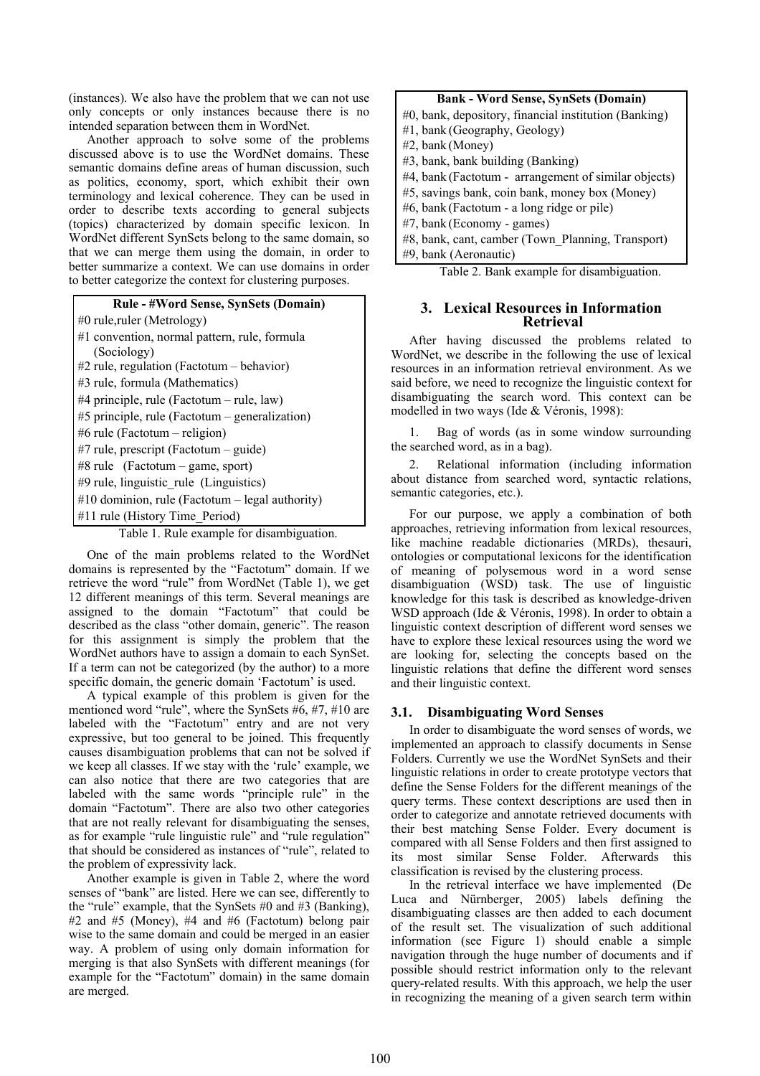(instances). We also have the problem that we can not use only concepts or only instances because there is no intended separation between them in WordNet.

Another approach to solve some of the problems discussed above is to use the WordNet domains. These semantic domains define areas of human discussion, such as politics, economy, sport, which exhibit their own terminology and lexical coherence. They can be used in order to describe texts according to general subjects (topics) characterized by domain specific lexicon. In WordNet different SynSets belong to the same domain, so that we can merge them using the domain, in order to better summarize a context. We can use domains in order to better categorize the context for clustering purposes.



One of the main problems related to the WordNet domains is represented by the "Factotum" domain. If we retrieve the word "rule" from WordNet (Table 1), we get 12 different meanings of this term. Several meanings are assigned to the domain "Factotum" that could be described as the class "other domain, generic". The reason for this assignment is simply the problem that the WordNet authors have to assign a domain to each SynSet. If a term can not be categorized (by the author) to a more specific domain, the generic domain 'Factotum' is used.

A typical example of this problem is given for the mentioned word "rule", where the SynSets #6, #7, #10 are labeled with the "Factotum" entry and are not very expressive, but too general to be joined. This frequently causes disambiguation problems that can not be solved if we keep all classes. If we stay with the 'rule' example, we can also notice that there are two categories that are labeled with the same words "principle rule" in the domain "Factotum". There are also two other categories that are not really relevant for disambiguating the senses, as for example "rule linguistic rule" and "rule regulation" that should be considered as instances of "rule", related to the problem of expressivity lack.

Another example is given in Table 2, where the word senses of "bank" are listed. Here we can see, differently to the "rule" example, that the SynSets #0 and #3 (Banking), #2 and #5 (Money), #4 and #6 (Factotum) belong pair wise to the same domain and could be merged in an easier way. A problem of using only domain information for merging is that also SynSets with different meanings (for example for the "Factotum" domain) in the same domain are merged.

### **Bank - Word Sense, SynSets (Domain)**

- #0, bank, depository, financial institution (Banking)
- #1, bank (Geography, Geology)
- #2, bank (Money)
- #3, bank, bank building (Banking)
- #4, bank (Factotum arrangement of similar objects)
- #5, savings bank, coin bank, money box (Money)
- #6, bank (Factotum a long ridge or pile)
- #7, bank (Economy games)
- #8, bank, cant, camber (Town\_Planning, Transport)
- #9, bank (Aeronautic)

Table 2. Bank example for disambiguation.

# **3. Lexical Resources in Information Retrieval**

After having discussed the problems related to WordNet, we describe in the following the use of lexical resources in an information retrieval environment. As we said before, we need to recognize the linguistic context for disambiguating the search word. This context can be modelled in two ways (Ide & Véronis, 1998):

1. Bag of words (as in some window surrounding the searched word, as in a bag).

2. Relational information (including information about distance from searched word, syntactic relations, semantic categories, etc.).

For our purpose, we apply a combination of both approaches, retrieving information from lexical resources, like machine readable dictionaries (MRDs), thesauri, ontologies or computational lexicons for the identification of meaning of polysemous word in a word sense disambiguation (WSD) task. The use of linguistic knowledge for this task is described as knowledge-driven WSD approach (Ide & Véronis, 1998). In order to obtain a linguistic context description of different word senses we have to explore these lexical resources using the word we are looking for, selecting the concepts based on the linguistic relations that define the different word senses and their linguistic context.

# **3.1. Disambiguating Word Senses**

In order to disambiguate the word senses of words, we implemented an approach to classify documents in Sense Folders. Currently we use the WordNet SynSets and their linguistic relations in order to create prototype vectors that define the Sense Folders for the different meanings of the query terms. These context descriptions are used then in order to categorize and annotate retrieved documents with their best matching Sense Folder. Every document is compared with all Sense Folders and then first assigned to its most similar Sense Folder. Afterwards this classification is revised by the clustering process.

In the retrieval interface we have implemented (De Luca and Nürnberger, 2005) labels defining the disambiguating classes are then added to each document of the result set. The visualization of such additional information (see Figure 1) should enable a simple navigation through the huge number of documents and if possible should restrict information only to the relevant query-related results. With this approach, we help the user in recognizing the meaning of a given search term within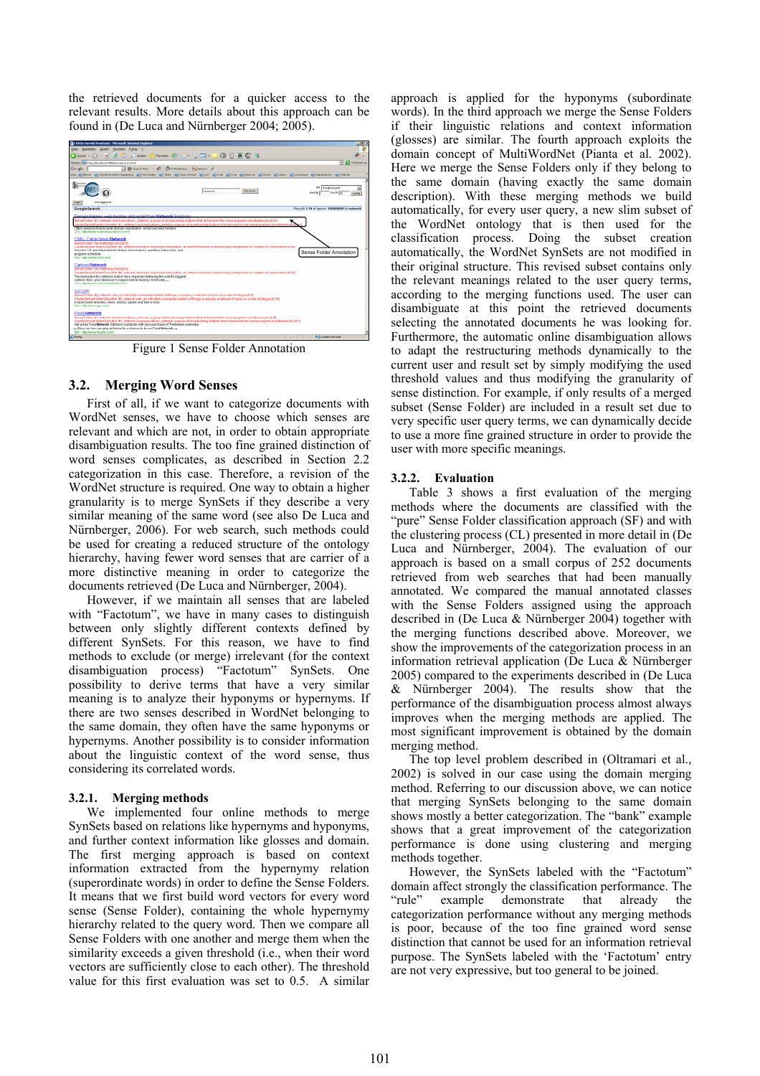the retrieved documents for a quicker access to the relevant results. More details about this approach can be found in (De Luca and Nürnberger 2004; 2005).



Figure 1 Sense Folder Annotation

# **3.2. Merging Word Senses**

First of all, if we want to categorize documents with WordNet senses, we have to choose which senses are relevant and which are not, in order to obtain appropriate disambiguation results. The too fine grained distinction of word senses complicates, as described in Section 2.2 categorization in this case. Therefore, a revision of the WordNet structure is required. One way to obtain a higher granularity is to merge SynSets if they describe a very similar meaning of the same word (see also De Luca and Nürnberger, 2006). For web search, such methods could be used for creating a reduced structure of the ontology hierarchy, having fewer word senses that are carrier of a more distinctive meaning in order to categorize the documents retrieved (De Luca and Nürnberger, 2004).

However, if we maintain all senses that are labeled with "Factotum", we have in many cases to distinguish between only slightly different contexts defined by different SynSets. For this reason, we have to find methods to exclude (or merge) irrelevant (for the context disambiguation process) "Factotum" SynSets. One possibility to derive terms that have a very similar meaning is to analyze their hyponyms or hypernyms. If there are two senses described in WordNet belonging to the same domain, they often have the same hyponyms or hypernyms. Another possibility is to consider information about the linguistic context of the word sense, thus considering its correlated words.

# **3.2.1. Merging methods**

We implemented four online methods to merge SynSets based on relations like hypernyms and hyponyms, and further context information like glosses and domain. The first merging approach is based on context information extracted from the hypernymy relation (superordinate words) in order to define the Sense Folders. It means that we first build word vectors for every word sense (Sense Folder), containing the whole hypernymy hierarchy related to the query word. Then we compare all Sense Folders with one another and merge them when the similarity exceeds a given threshold (i.e., when their word vectors are sufficiently close to each other). The threshold value for this first evaluation was set to 0.5. A similar

approach is applied for the hyponyms (subordinate words). In the third approach we merge the Sense Folders if their linguistic relations and context information (glosses) are similar. The fourth approach exploits the domain concept of MultiWordNet (Pianta et al. 2002). Here we merge the Sense Folders only if they belong to the same domain (having exactly the same domain description). With these merging methods we build automatically, for every user query, a new slim subset of the WordNet ontology that is then used for the classification process. Doing the subset creation automatically, the WordNet SynSets are not modified in their original structure. This revised subset contains only the relevant meanings related to the user query terms, according to the merging functions used. The user can disambiguate at this point the retrieved documents selecting the annotated documents he was looking for. Furthermore, the automatic online disambiguation allows to adapt the restructuring methods dynamically to the current user and result set by simply modifying the used threshold values and thus modifying the granularity of sense distinction. For example, if only results of a merged subset (Sense Folder) are included in a result set due to very specific user query terms, we can dynamically decide to use a more fine grained structure in order to provide the user with more specific meanings.

# **3.2.2. Evaluation**

Table 3 shows a first evaluation of the merging methods where the documents are classified with the "pure" Sense Folder classification approach (SF) and with the clustering process (CL) presented in more detail in (De Luca and Nürnberger, 2004). The evaluation of our approach is based on a small corpus of 252 documents retrieved from web searches that had been manually annotated. We compared the manual annotated classes with the Sense Folders assigned using the approach described in (De Luca & Nürnberger 2004) together with the merging functions described above. Moreover, we show the improvements of the categorization process in an information retrieval application (De Luca & Nürnberger 2005) compared to the experiments described in (De Luca & Nürnberger 2004). The results show that the performance of the disambiguation process almost always improves when the merging methods are applied. The most significant improvement is obtained by the domain merging method.

The top level problem described in (Oltramari et al., 2002) is solved in our case using the domain merging method. Referring to our discussion above, we can notice that merging SynSets belonging to the same domain shows mostly a better categorization. The "bank" example shows that a great improvement of the categorization performance is done using clustering and merging methods together.

However, the SynSets labeled with the "Factotum" domain affect strongly the classification performance. The "rule" example demonstrate that already the categorization performance without any merging methods is poor, because of the too fine grained word sense distinction that cannot be used for an information retrieval purpose. The SynSets labeled with the 'Factotum' entry are not very expressive, but too general to be joined.